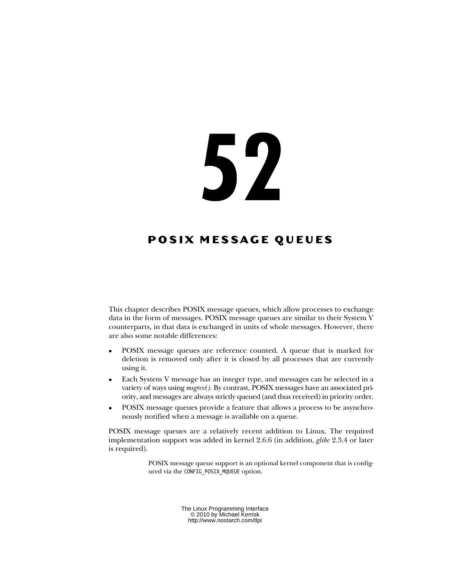# 52

# **POSIX MESSAGE QUEUES**

This chapter describes POSIX message queues, which allow processes to exchange data in the form of messages. POSIX message queues are similar to their System V counterparts, in that data is exchanged in units of whole messages. However, there are also some notable differences:

- POSIX message queues are reference counted. A queue that is marked for deletion is removed only after it is closed by all processes that are currently using it.
- Each System V message has an integer type, and messages can be selected in a variety of ways using msgrcv(). By contrast, POSIX messages have an associated priority, and messages are always strictly queued (and thus received) in priority order.
- POSIX message queues provide a feature that allows a process to be asynchronously notified when a message is available on a queue.

POSIX message queues are a relatively recent addition to Linux. The required implementation support was added in kernel 2.6.6 (in addition, *glibc* 2.3.4 or later is required).

> POSIX message queue support is an optional kernel component that is configured via the CONFIG\_POSIX\_MQUEUE option.

> > The Linux Programming Interface © 2010 by Michael Kerrisk http://www.nostarch.com/tlpi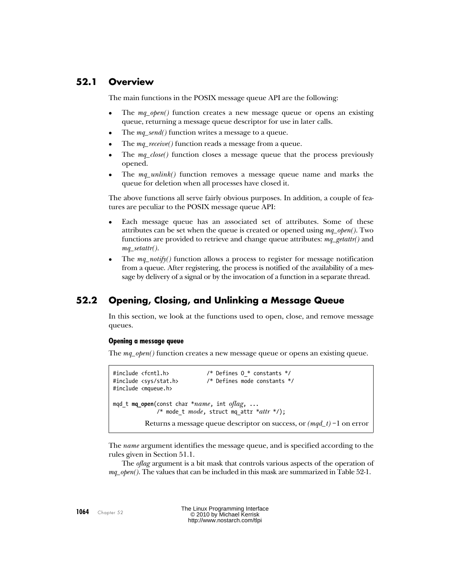## **52.1 Overview**

The main functions in the POSIX message queue API are the following:

- The mq\_open() function creates a new message queue or opens an existing queue, returning a message queue descriptor for use in later calls.
- The  $mq\_send()$  function writes a message to a queue.
- The *mq\_receive()* function reads a message from a queue.
- The mq\_close() function closes a message queue that the process previously opened.
- The mq\_unlink() function removes a message queue name and marks the queue for deletion when all processes have closed it.

The above functions all serve fairly obvious purposes. In addition, a couple of features are peculiar to the POSIX message queue API:

- Each message queue has an associated set of attributes. Some of these attributes can be set when the queue is created or opened using  $mq\_open($ ). Two functions are provided to retrieve and change queue attributes:  $mq\_getattr()$  and  $mq\_setattr()$ .
- The  $mq\_notify()$  function allows a process to register for message notification from a queue. After registering, the process is notified of the availability of a message by delivery of a signal or by the invocation of a function in a separate thread.

# **52.2 Opening, Closing, and Unlinking a Message Queue**

In this section, we look at the functions used to open, close, and remove message queues.

#### **Opening a message queue**

The  $mq\_open$ ) function creates a new message queue or opens an existing queue.

```
#include <fcntl.h> /* Defines O_* constants */
#include <sys/stat.h> /* Defines mode constants */
#include <mqueue.h>
mqd t mq open(const char *name, int oflag, ...
             /* mode t mode, struct mq attr *attr */);
         Returns a message queue descriptor on success, or (mqd_t) - 1 on error
```
The *name* argument identifies the message queue, and is specified according to the rules given in Section 51.1.

The oflag argument is a bit mask that controls various aspects of the operation of  $mq\_open(.)$ . The values that can be included in this mask are summarized in [Table 52-1](#page-2-0).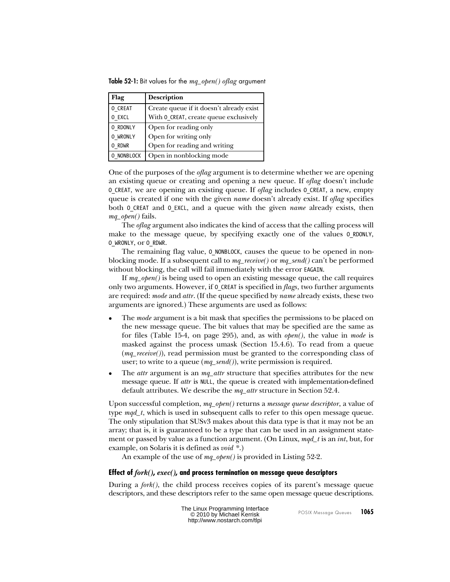<span id="page-2-0"></span>**Table 52-1:** Bit values for the mq\_open() oflag argument

| Flag       | <b>Description</b>                       |  |
|------------|------------------------------------------|--|
| O CREAT    | Create queue if it doesn't already exist |  |
| O EXCL     | With 0_CREAT, create queue exclusively   |  |
| O RDONLY   | Open for reading only                    |  |
| O WRONLY   | Open for writing only                    |  |
| O RDWR     | Open for reading and writing             |  |
| O NONBLOCK | Open in nonblocking mode                 |  |

One of the purposes of the *oflag* argument is to determine whether we are opening an existing queue or creating and opening a new queue. If oflag doesn't include O CREAT, we are opening an existing queue. If *oflag* includes 0 CREAT, a new, empty queue is created if one with the given *name* doesn't already exist. If *oflag* specifies both 0 CREAT and 0 EXCL, and a queue with the given *name* already exists, then mq\_open() fails.

The oflag argument also indicates the kind of access that the calling process will make to the message queue, by specifying exactly one of the values 0 RDONLY, O\_WRONLY, or O\_RDWR.

The remaining flag value, 0 NONBLOCK, causes the queue to be opened in nonblocking mode. If a subsequent call to  $mq\_receive()$  or  $mq\_send()$  can't be performed without blocking, the call will fail immediately with the error EAGAIN.

If  $mq\_open$ ) is being used to open an existing message queue, the call requires only two arguments. However, if 0 CREAT is specified in flags, two further arguments are required: *mode* and *attr*. (If the queue specified by *name* already exists, these two arguments are ignored.) These arguments are used as follows:

- The *mode* argument is a bit mask that specifies the permissions to be placed on the new message queue. The bit values that may be specified are the same as for files (Table 15-4, on page 295), and, as with open(), the value in mode is masked against the process umask (Section 15.4.6). To read from a queue  $(mq\_receiver))$ , read permission must be granted to the corresponding class of user; to write to a queue  $(mq\_send())$ , write permission is required.
- The *attr* argument is an  $mq\_attr$  structure that specifies attributes for the new message queue. If *attr* is NULL, the queue is created with implementation-defined default attributes. We describe the  $mq\_attr$  structure in [Section 52.4.](#page-5-0)

Upon successful completion,  $mq\_open()$  returns a *message queue descriptor*, a value of type  $\textit{mqd}_t$ , which is used in subsequent calls to refer to this open message queue. The only stipulation that SUSv3 makes about this data type is that it may not be an array; that is, it is guaranteed to be a type that can be used in an assignment statement or passed by value as a function argument. (On Linux,  $mqd_t$  is an int, but, for example, on Solaris it is defined as  $\text{void}$  \*.)

An example of the use of  $mq\_open()$  is provided in [Listing 52-2.](#page-6-0)

## **Effect of fork(), exec(), and process termination on message queue descriptors**

During a *fork*(), the child process receives copies of its parent's message queue descriptors, and these descriptors refer to the same open message queue descriptions.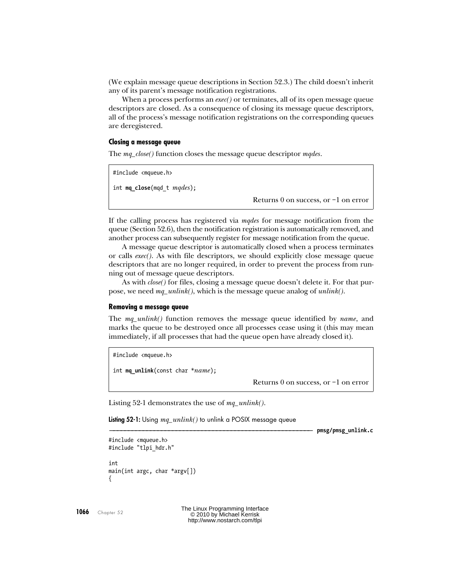<span id="page-3-0"></span>(We explain message queue descriptions in [Section 52.3.](#page-4-0)) The child doesn't inherit any of its parent's message notification registrations.

When a process performs an  $exec()$  or terminates, all of its open message queue descriptors are closed. As a consequence of closing its message queue descriptors, all of the process's message notification registrations on the corresponding queues are deregistered.

#### **Closing a message queue**

The mq\_close() function closes the message queue descriptor mqdes.

```
#include <mqueue.h>
int mq_close(mqd t mqdes);
```
Returns 0 on success, or –1 on error

If the calling process has registered via mandes for message notification from the queue [\(Section 52.6](#page-14-0)), then the notification registration is automatically removed, and another process can subsequently register for message notification from the queue.

A message queue descriptor is automatically closed when a process terminates or calls exec(). As with file descriptors, we should explicitly close message queue descriptors that are no longer required, in order to prevent the process from running out of message queue descriptors.

As with *close*() for files, closing a message queue doesn't delete it. For that purpose, we need  $mq\_unlink()$ , which is the message queue analog of  $unlink()$ .

#### **Removing a message queue**

The  $mq\_unlink$  function removes the message queue identified by *name*, and marks the queue to be destroyed once all processes cease using it (this may mean immediately, if all processes that had the queue open have already closed it).

#include <mqueue.h>

int **mq\_unlink**(const char \*name);

Returns 0 on success, or –1 on error

[Listing 52-1](#page-3-0) demonstrates the use of  $mq\_unlink$ .

**Listing 52-1:** Using mq\_unlink() to unlink a POSIX message queue

––––––––––––––––––––––––––––––––––––––––––––––––––––––– **pmsg/pmsg\_unlink.c**

```
#include <mqueue.h>
#include "tlpi hdr.h"
int
main(int argc, char *argv[])
{
```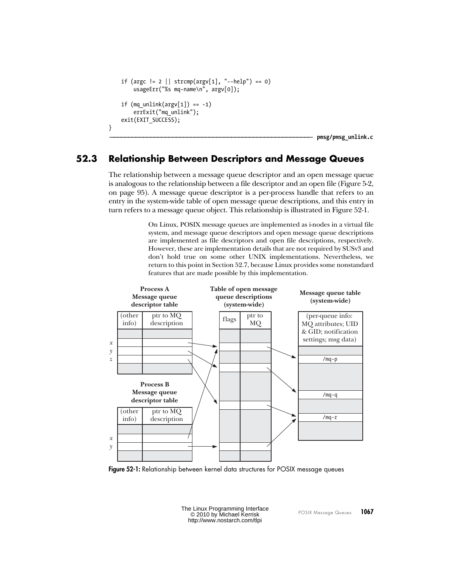```
if (argc != 2 || strcmp(argv[1], "--help") == 0)
      usageErr("%s mq-name\n", argv[0]);
if (mq unlink(argv[1]) == -1)
      errExit("mq_unlink");
 exit(EXIT_SUCCESS);
                                                                                     ––––––––––––––––––––––––––––––––––––––––––––––––––––––– pmsg/pmsg_unlink.c
```
## **52.3 Relationship Between Descriptors and Message Queues**

}

The relationship between a message queue descriptor and an open message queue is analogous to the relationship between a file descriptor and an open file (Figure 5-2, on page 95). A message queue descriptor is a per-process handle that refers to an entry in the system-wide table of open message queue descriptions, and this entry in turn refers to a message queue object. This relationship is illustrated in [Figure 52-1.](#page-4-0)

> On Linux, POSIX message queues are implemented as i-nodes in a virtual file system, and message queue descriptors and open message queue descriptions are implemented as file descriptors and open file descriptions, respectively. However, these are implementation details that are not required by SUSv3 and don't hold true on some other UNIX implementations. Nevertheless, we return to this point in [Section 52.7,](#page-20-0) because Linux provides some nonstandard features that are made possible by this implementation.



**Figure 52-1:** Relationship between kernel data structures for POSIX message queues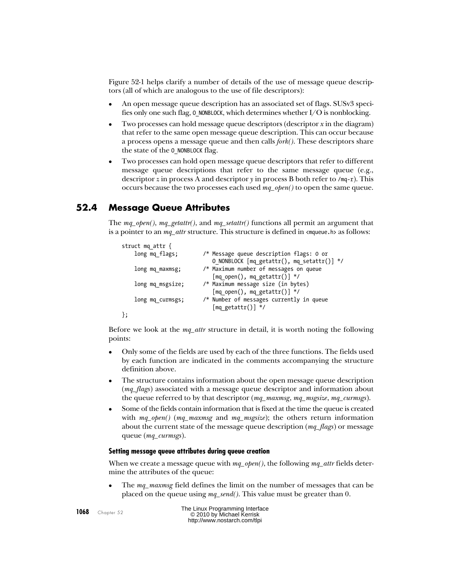<span id="page-5-0"></span>[Figure 52-1](#page-4-0) helps clarify a number of details of the use of message queue descriptors (all of which are analogous to the use of file descriptors):

- An open message queue description has an associated set of flags. SUSv3 specifies only one such flag,  $\ddot{o}$  NONBLOCK, which determines whether I/O is nonblocking.
- Two processes can hold message queue descriptors (descriptor  $x$  in the diagram) that refer to the same open message queue description. This can occur because a process opens a message queue and then calls  $fork()$ . These descriptors share the state of the O\_NONBLOCK flag.
- Two processes can hold open message queue descriptors that refer to different message queue descriptions that refer to the same message queue (e.g., descriptor z in process A and descriptor  $\gamma$  in process B both refer to /mq-r). This occurs because the two processes each used  $mq\_open()$  to open the same queue.

# **52.4 Message Queue Attributes**

The  $mq\_open()$ ,  $mq\_getattr()$ , and  $mq\_setattr()$  functions all permit an argument that is a pointer to an  $mq\_attr$  structure. This structure is defined in  $\langle$  mqueue.h> as follows:

```
struct mq_attr {
   long mq flags; \frac{1}{2} /* Message queue description flags: 0 or
                            O NONBLOCK [mq getattr(), mq setattr()] */long mq maxmsg; / Maximum number of messages on queue
                            [mq_open(), mqgetattr()] */
    long mq_msgsize; /* Maximum message size (in bytes)
                            [mq open(), mq getattr()] */ long mq_curmsgs; /* Number of messages currently in queue
                            [mq getattr()] */};
```
Before we look at the  $mq\_attr$  structure in detail, it is worth noting the following points:

- Only some of the fields are used by each of the three functions. The fields used by each function are indicated in the comments accompanying the structure definition above.
- The structure contains information about the open message queue description (*mq\_flags*) associated with a message queue descriptor and information about the queue referred to by that descriptor  $(mq\_maxmsg, mq\_massize, mq\_curmsgs)$ .
- Some of the fields contain information that is fixed at the time the queue is created with  $mq\_open()$  (mq\_maxmsg and mq\_msgsize); the others return information about the current state of the message queue description  $(mq_{\text{r}}$  flags) or message queue (*mq\_curmsgs*).

## **Setting message queue attributes during queue creation**

When we create a message queue with  $mq\_open()$ , the following  $mq\_attr$  fields determine the attributes of the queue:

 The mq\_maxmsg field defines the limit on the number of messages that can be placed on the queue using  $mq\_send()$ . This value must be greater than 0.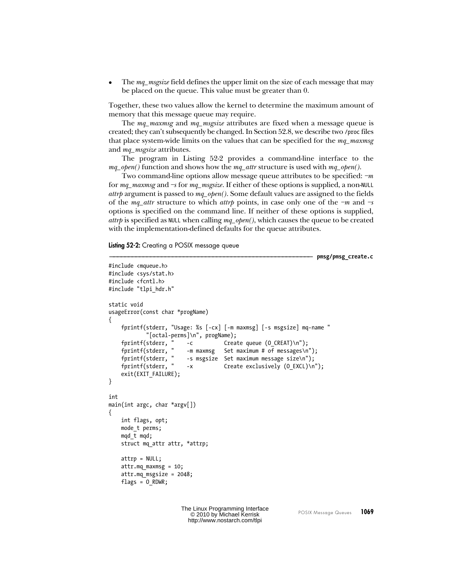<span id="page-6-0"></span>The mq\_msgsize field defines the upper limit on the size of each message that may be placed on the queue. This value must be greater than 0.

Together, these two values allow the kernel to determine the maximum amount of memory that this message queue may require.

The mq\_maxmsg and mq\_msgsize attributes are fixed when a message queue is created; they can't subsequently be changed. In [Section 52.8,](#page-22-0) we describe two /proc files that place system-wide limits on the values that can be specified for the  $mq\_maxmsg$ and *mq\_msgsize* attributes.

The program in [Listing 52-2](#page-6-0) provides a command-line interface to the  $mq\_open()$  function and shows how the  $mq\_attr$  structure is used with  $mq\_open()$ .

Two command-line options allow message queue attributes to be specified:  $-m$ for  $mq\_maxmsg$  and  $-$ s for  $mq\_msgsize$ . If either of these options is supplied, a non-NULL *attrp* argument is passed to  $mq\_open$ ). Some default values are assigned to the fields of the mq\_attr structure to which attr $p$  points, in case only one of the  $-m$  and  $-s$ options is specified on the command line. If neither of these options is supplied, *attrp* is specified as NULL when calling  $mq\_open($ ), which causes the queue to be created with the implementation-defined defaults for the queue attributes.

**Listing 52-2:** Creating a POSIX message queue

```
––––––––––––––––––––––––––––––––––––––––––––––––––––––– pmsg/pmsg_create.c
#include <mqueue.h>
#include <sys/stat.h>
#include <fcntl.h>
#include "tlpi hdr.h"
static void
usageError(const char *progName)
{
      fprintf(stderr, "Usage: %s [-cx] [-m maxmsg] [-s msgsize] mq-name "
      "[octal-perms]\n", progName);
     fprintf(stderr, " -c        Create queue (O_CREAT)\n");<br>fprintf(stderr, " -m maxmsg   Set maximum # of messages\n
      fprintf(stderr, " -m maxmsg Set maximum # of messages\n");
     fprintf(stderr, " -s msgsize Set maximum message size\n");<br>fprintf(stderr, " -x Create exclusively (O EXCL)\n
                               -x Create exclusively (0 EXCL)\n");
     exit(EXIT FAILURE);
}
int
main(int \, \text{argc}, \, \text{char} \, \text{argv}[\,]){
      int flags, opt;
      mode_t perms;
      mqd_t mqd;
     struct mq attr attr, *attrp;
      attrp = NULL;
      attr.mq_maxmsg = 10;
      attr.mq_msgsize = 2048;
     flags = 0 RDWR;
```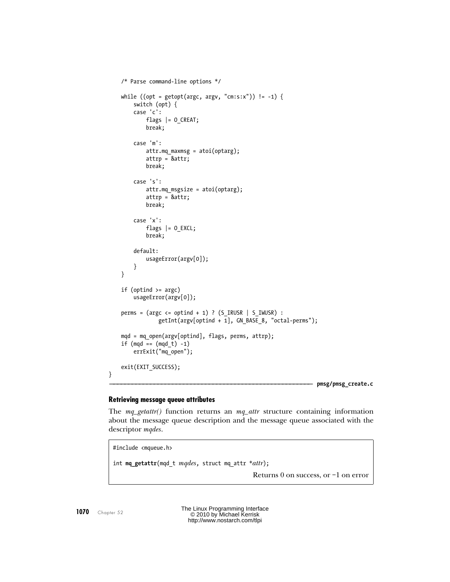```
 /* Parse command-line options */
while ((opt = getopt(argc, argv, "cm:s:x")) != -1) {
     switch (opt) {
     case 'c':
          flags |= O_CREAT;
          break;
     case 'm':
          attr.mq_maxmsg = atoi(optarg);
          attrp = &attr;
          break;
     case 's':
         attr.mq msgsize = atoi(optarg);
          attrp = &attr;
          break;
     case 'x':
         flags |= 0 EXCL;
          break;
     default: 
         usageError(argv[0]);
     }
 }
if (optind >= argc)
     usageError(argv[0]);
perms = (\text{arge} \leq \text{optind} + 1) ? (S \text{IRUSR} | S \text{IWUSR}) :
               getInt(argv[optind + 1], GN_BASE_8, "octal-perms");
mod = mq open(argv[optind], flags, perms, attrp);
if (mqd == (mqd t) -1) errExit("mq_open");
 exit(EXIT_SUCCESS);
                                                                         ––––––––––––––––––––––––––––––––––––––––––––––––––––––– pmsg/pmsg_create.c
```
#### **Retrieving message queue attributes**

The  $mq\_getattr()$  function returns an  $mq\_attr$  structure containing information about the message queue description and the message queue associated with the descriptor *mqdes*.

#include <mqueue.h> int **mq\_getattr**(mqd t mqdes, struct mq attr \*attr); Returns 0 on success, or –1 on error

}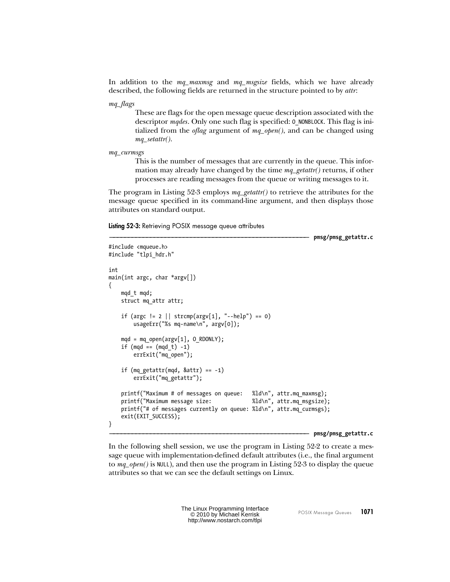<span id="page-8-0"></span>In addition to the mq\_maxmsg and mq\_msgsize fields, which we have already described, the following fields are returned in the structure pointed to by attr:

mq\_flags

These are flags for the open message queue description associated with the descriptor *mqdes*. Only one such flag is specified: 0 NONBLOCK. This flag is initialized from the *oflag* argument of  $mq\_open()$ , and can be changed using  $mq\_setattr()$ .

mq\_curmsgs

#include <mqueue.h>

This is the number of messages that are currently in the queue. This information may already have changed by the time  $mq\_getattr()$  returns, if other processes are reading messages from the queue or writing messages to it.

The program in [Listing 52-3](#page-8-0) employs  $mq\_getattr()$  to retrieve the attributes for the message queue specified in its command-line argument, and then displays those attributes on standard output.

**Listing 52-3:** Retrieving POSIX message queue attributes

–––––––––––––––––––––––––––––––––––––––––––––––––––––– **pmsg/pmsg\_getattr.c**

```
#include "tlpi_hdr.h"
int
main(int argc, char *argv[])
{
    mqd_t mqd;
    struct mq_attr attr;
   if (argc != 2 || strcmp(argv[1], "--help") == 0)
         usageErr("%s mq-name\n", argv[0]);
   mod = mq open(argv[1], O RDONLY);
   if (mqd == (mqd_t) -1)
        errExit("mq_open");
    if (mq getattr(mqd, 8attr) == -1) errExit("mq_getattr");
    printf("Maximum # of messages on queue: %ld\n", attr.mq maxmsg);
    printf("Maximum message size: %ld\n", attr.mq_msgsize);
    printf("# of messages currently on queue: %ld\n", attr.mq_curmsgs);
    exit(EXIT_SUCCESS);
}
```
#### –––––––––––––––––––––––––––––––––––––––––––––––––––––– **pmsg/pmsg\_getattr.c**

In the following shell session, we use the program in [Listing 52-2](#page-6-0) to create a message queue with implementation-defined default attributes (i.e., the final argument to  $mq\_open()$  is NULL), and then use the program in [Listing 52-3](#page-8-0) to display the queue attributes so that we can see the default settings on Linux.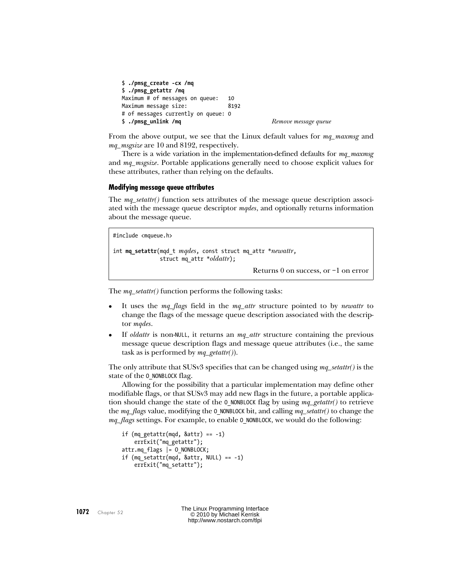```
$ ./pmsg_create -cx /mq
$ ./pmsg_getattr /mq
Maximum # of messages on queue: 10
Maximum message size: 8192
# of messages currently on queue: 0
$ ./pmsg_unlink /mq Remove message queue
```
From the above output, we see that the Linux default values for mq\_maxmsg and mq\_msgsize are 10 and 8192, respectively.

There is a wide variation in the implementation-defined defaults for  $mq\_maxmsg$ and mq\_msgsize. Portable applications generally need to choose explicit values for these attributes, rather than relying on the defaults.

#### **Modifying message queue attributes**

The  $mq\_setattr()$  function sets attributes of the message queue description associated with the message queue descriptor *mades*, and optionally returns information about the message queue.

```
#include <mqueue.h>
int mq_setattr(mqd_t mqdes, const struct mq_attr *newattr,
               struct mq_attr *oldattr);
```
Returns 0 on success, or –1 on error

The *mq\_setattr()* function performs the following tasks:

- It uses the  $mq_{flags}$  field in the  $mq_{attr}$  structure pointed to by *newattr* to change the flags of the message queue description associated with the descriptor mqdes.
- If *oldattr* is non-NULL, it returns an  $mq\_attr$  structure containing the previous message queue description flags and message queue attributes (i.e., the same task as is performed by  $mq\_getattr()$ ).

The only attribute that SUSv3 specifies that can be changed using  $mq\_setattr()$  is the state of the 0 NONBLOCK flag.

Allowing for the possibility that a particular implementation may define other modifiable flags, or that SUSv3 may add new flags in the future, a portable application should change the state of the 0 NONBLOCK flag by using  $mq\_getattr()$  to retrieve the  $mq\_flags$  value, modifying the 0 NONBLOCK bit, and calling  $mq\_setattr()$  to change the  $mq_f \text{lags}$  settings. For example, to enable 0 NONBLOCK, we would do the following:

```
if (mq getattr(mqd, 8attr) == -1) errExit("mq_getattr");
attr.mq_flags |= O_NONBLOCK;
if (mq_setattr(mqd, &attr, NULL) == -1)
     errExit("mq_setattr");
```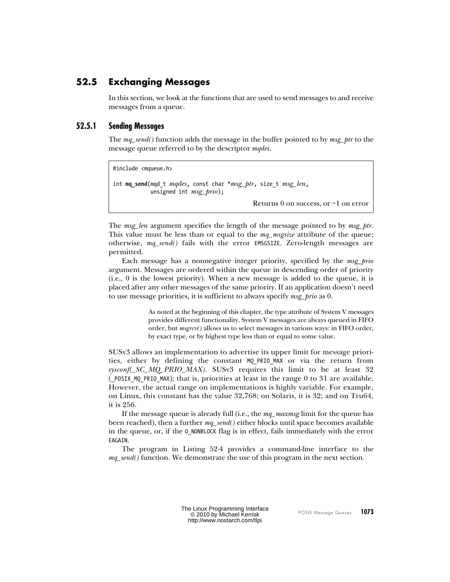## <span id="page-10-0"></span>**52.5 Exchanging Messages**

In this section, we look at the functions that are used to send messages to and receive messages from a queue.

## **52.5.1 Sending Messages**

The  $mq\_send()$  function adds the message in the buffer pointed to by  $msg\_ptr$  to the message queue referred to by the descriptor *mqdes*.

```
#include <mqueue.h>
int mq_send(mqd_t mqdes, const char *msg_ptr, size_t msg_len,
           unsigned int msg\_prio;
                                            Returns 0 on success, or –1 on error
```
The *msg\_len* argument specifies the length of the message pointed to by *msg\_ptr*. This value must be less than or equal to the  $mq\_msgsize$  attribute of the queue; otherwise, mq\_send() fails with the error EMSGSIZE. Zero-length messages are permitted.

Each message has a nonnegative integer priority, specified by the msg\_prio argument. Messages are ordered within the queue in descending order of priority (i.e., 0 is the lowest priority). When a new message is added to the queue, it is placed after any other messages of the same priority. If an application doesn't need to use message priorities, it is sufficient to always specify *msg\_prio* as 0.

> As noted at the beginning of this chapter, the type attribute of System V messages provides different functionality. System V messages are always queued in FIFO order, but  $msgrcv$  allows us to select messages in various ways: in FIFO order, by exact type, or by highest type less than or equal to some value.

SUSv3 allows an implementation to advertise its upper limit for message priorities, either by defining the constant MQ\_PRIO\_MAX or via the return from sysconf( $SC_MQ_PRIO_MAX$ ). SUSv3 requires this limit to be at least 32 (\_POSIX\_MQ\_PRIO\_MAX); that is, priorities at least in the range 0 to 31 are available. However, the actual range on implementations is highly variable. For example, on Linux, this constant has the value 32,768; on Solaris, it is 32; and on Tru64, it is 256.

If the message queue is already full (i.e., the  $mq\_maxmsg$  limit for the queue has been reached), then a further  $mq\_send()$  either blocks until space becomes available in the queue, or, if the 0 NONBLOCK flag is in effect, fails immediately with the error EAGAIN.

The program in [Listing 52-4](#page-11-0) provides a command-line interface to the  $mq\_send()$  function. We demonstrate the use of this program in the next section.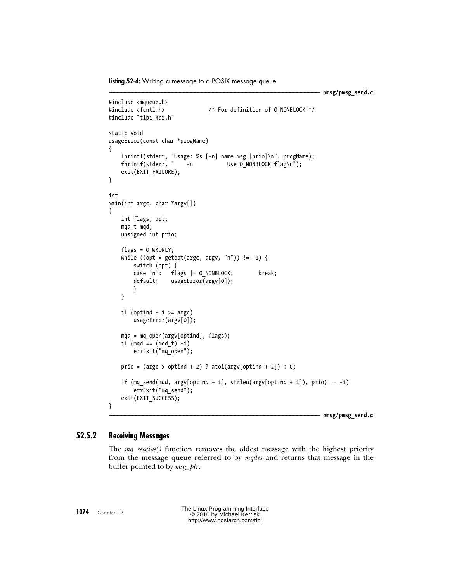<span id="page-11-0"></span>**Listing 52-4:** Writing a message to a POSIX message queue

```
––––––––––––––––––––––––––––––––––––––––––––––––––––––––– pmsg/pmsg_send.c
#include <mqueue.h>
#include <fcntl.h> /* For definition of O_NONBLOCK */
#include "tlpi hdr.h"
static void
usageError(const char *progName)
{
     fprintf(stderr, "Usage: %s [-n] name msg [prio]\n", progName);
    fprintf(stderr, " -n Use O_NONBLOCK flag\n");
    exit(EXIT FAILURE);
}
int
main(int argc, char *argv[])
{
     int flags, opt;
     mqd_t mqd;
     unsigned int prio;
    flags = 0 WRONLY;
    while ((opt = getopt(argc, argv, "n")) != -1) switch (opt) {
        case 'n': flags |= 0 NONBLOCK; break;
         default: usageError(argv[0]);
         }
     }
    if (optind + 1 > = argc)
         usageError(argv[0]);
    mqd = mq open(argv[optind], flags);if (mqd == (mqd t) -1) errExit("mq_open");
    prio = (argc > optind + 2) ? atoi(argy[optind + 2]) : 0;
    if (mq_send(mqd, argv[optind + 1], strlen(argv[optind + 1]), prio) == -1)
         errExit("mq_send");
    exit(EXIT_SUCCESS);
}
––––––––––––––––––––––––––––––––––––––––––––––––––––––––– pmsg/pmsg_send.c
```
## **52.5.2 Receiving Messages**

The mq\_receive() function removes the oldest message with the highest priority from the message queue referred to by mgdes and returns that message in the buffer pointed to by msg  $ptr$ .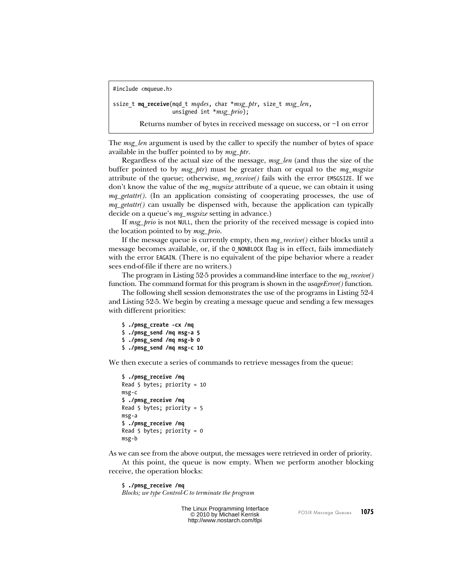```
#include <mqueue.h>
```

```
ssize t mq_receive(mqd t mqdes, char *msg_ptr, size t msg_len,
                  unsigned int *msg_prio);
```
Returns number of bytes in received message on success, or –1 on error

The msg\_len argument is used by the caller to specify the number of bytes of space available in the buffer pointed to by *msg\_ptr*.

Regardless of the actual size of the message, msg\_len (and thus the size of the buffer pointed to by  $msg\_ptr$  must be greater than or equal to the  $mq\_msgsize$ attribute of the queue; otherwise,  $mq\_receive()$  fails with the error EMSGSIZE. If we don't know the value of the  $mq$  magsize attribute of a queue, we can obtain it using  $mq\_getattr()$ . (In an application consisting of cooperating processes, the use of  $mq\_getattr()$  can usually be dispensed with, because the application can typically decide on a queue's *mq\_msgsize* setting in advance.)

If msg prio is not NULL, then the priority of the received message is copied into the location pointed to by *msg\_prio*.

If the message queue is currently empty, then mq\_receive() either blocks until a message becomes available, or, if the O\_NONBLOCK flag is in effect, fails immediately with the error EAGAIN. (There is no equivalent of the pipe behavior where a reader sees end-of-file if there are no writers.)

The program in [Listing 52-5](#page-13-0) provides a command-line interface to the  $mq\_receive()$ function. The command format for this program is shown in the *usageError()* function.

The following shell session demonstrates the use of the programs in [Listing 52-4](#page-11-0) and [Listing 52-5](#page-13-0). We begin by creating a message queue and sending a few messages with different priorities:

```
$ ./pmsg_create -cx /mq
$ ./pmsg_send /mq msg-a 5
$ ./pmsg_send /mq msg-b 0
$ ./pmsg_send /mq msg-c 10
```
We then execute a series of commands to retrieve messages from the queue:

```
$ ./pmsg_receive /mq
Read 5 bytes; priority = 10
msg-c
$ ./pmsg_receive /mq
Read 5 bytes; priority = 5
msg-a
$ ./pmsg_receive /mq
Read 5 bytes; priority = 0
msg-b
```
As we can see from the above output, the messages were retrieved in order of priority.

At this point, the queue is now empty. When we perform another blocking receive, the operation blocks:

\$ **./pmsg\_receive /mq** Blocks; we type Control-C to terminate the program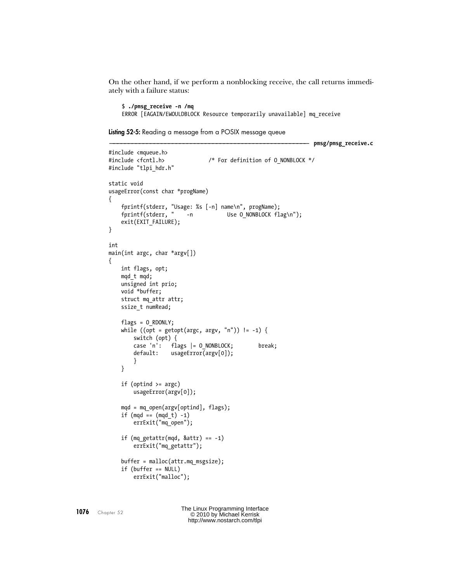<span id="page-13-0"></span>On the other hand, if we perform a nonblocking receive, the call returns immediately with a failure status:

\$ **./pmsg\_receive -n /mq** ERROR [EAGAIN/EWOULDBLOCK Resource temporarily unavailable] mq\_receive

```
Listing 52-5: Reading a message from a POSIX message queue
```

```
–––––––––––––––––––––––––––––––––––––––––––––––––––––– pmsg/pmsg_receive.c
#include <mqueue.h>
#include <fcntl.h> /* For definition of O_NONBLOCK */
#include "tlpi hdr.h"
static void
usageError(const char *progName)
{
     fprintf(stderr, "Usage: %s [-n] name\n", progName);
    fprintf(stderr, " -n Use O_NONBLOCK flag\n");
    exit(EXIT FAILURE);
}
int
main(int argc, char *argv[])
{
     int flags, opt;
     mqd_t mqd;
     unsigned int prio;
     void *buffer;
     struct mq_attr attr;
    ssize t numRead;
    flags = 0 RDONLY;
    while ((opt = getopt(argc, argv, "n")) != -1) switch (opt) {
         case 'n': flags |= O_NONBLOCK; break;
         default: usageError(argv[0]);
         }
     }
     if (optind >= argc)
         usageError(argv[0]);
    mqd = mq open(argv[optind], flags);if (mqd == (mqd t) -1) errExit("mq_open");
    if (mq getattr(mqd, 8attr) == -1) errExit("mq_getattr");
     buffer = malloc(attr.mq_msgsize);
     if (buffer == NULL)
         errExit("malloc");
```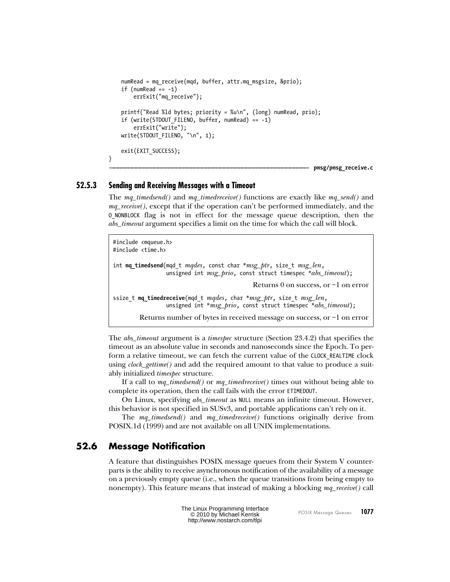```
numRead = mq receive(mqd, buffer, attr.mq msgsize, &prio);
if (numRead == -1)
     errExit("mq_receive");
 printf("Read %ld bytes; priority = %u\n", (long) numRead, prio);
 if (write(STDOUT_FILENO, buffer, numRead) == -1)
     errExit("write");
 write(STDOUT_FILENO, "\n", 1);
 exit(EXIT_SUCCESS);
```
–––––––––––––––––––––––––––––––––––––––––––––––––––––– **pmsg/pmsg\_receive.c**

## **52.5.3 Sending and Receiving Messages with a Timeout**

}

The mq timedsend() and mq timedreceive() functions are exactly like mq send() and  $mq\_receive($ ), except that if the operation can't be performed immediately, and the O\_NONBLOCK flag is not in effect for the message queue description, then the abs\_timeout argument specifies a limit on the time for which the call will block.

```
#include <mqueue.h>
#include <time.h>
int mq_timedsend(mqd_t mqdes, const char *msg_ptr, size_t msg_len,
                 unsigned int msg\_prio, const struct timespec *abs\_timeout;
                                              Returns 0 on success, or –1 on error
ssize t mq_timedreceive(mqd t mqdes, char *msg_ptr, size t msg_len,
                 unsigned int *<i>msg\_prio</i>, const struct timespec *<i>abs\_timeout</i>);
        Returns number of bytes in received message on success, or –1 on error
```
The *abs\_timeout* argument is a *timespec* structure (Section 23.4.2) that specifies the timeout as an absolute value in seconds and nanoseconds since the Epoch. To perform a relative timeout, we can fetch the current value of the CLOCK\_REALTIME clock using *clock\_gettime()* and add the required amount to that value to produce a suitably initialized *timespec* structure.

If a call to  $mq\_timedsend()$  or  $mq\_timedreceive()$  times out without being able to complete its operation, then the call fails with the error ETIMEDOUT.

On Linux, specifying *abs\_timeout* as NULL means an infinite timeout. However, this behavior is not specified in SUSv3, and portable applications can't rely on it.

The mq\_timedsend() and mq\_timedreceive() functions originally derive from POSIX.1d (1999) and are not available on all UNIX implementations.

## **52.6 Message Notification**

A feature that distinguishes POSIX message queues from their System V counterparts is the ability to receive asynchronous notification of the availability of a message on a previously empty queue (i.e., when the queue transitions from being empty to nonempty). This feature means that instead of making a blocking  $mq\_receive()$  call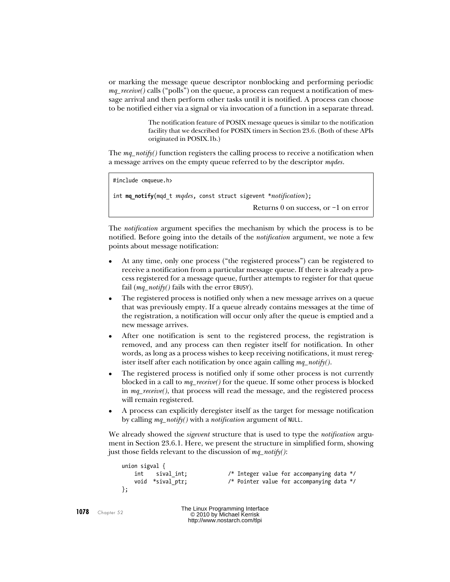or marking the message queue descriptor nonblocking and performing periodic  $mq\_receive()$  calls ("polls") on the queue, a process can request a notification of message arrival and then perform other tasks until it is notified. A process can choose to be notified either via a signal or via invocation of a function in a separate thread.

> The notification feature of POSIX message queues is similar to the notification facility that we described for POSIX timers in Section 23.6. (Both of these APIs originated in POSIX.1b.)

The  $mq\_notify()$  function registers the calling process to receive a notification when a message arrives on the empty queue referred to by the descriptor mades.

```
#include <mqueue.h>
int mq_notify(mqd_t mqdes, const struct sigevent *notification);
                                             Returns 0 on success, or –1 on error
```
The *notification* argument specifies the mechanism by which the process is to be notified. Before going into the details of the *notification* argument, we note a few points about message notification:

- At any time, only one process ("the registered process") can be registered to receive a notification from a particular message queue. If there is already a process registered for a message queue, further attempts to register for that queue fail  $(mq\_notify()$  fails with the error EBUSY).
- The registered process is notified only when a new message arrives on a queue that was previously empty. If a queue already contains messages at the time of the registration, a notification will occur only after the queue is emptied and a new message arrives.
- After one notification is sent to the registered process, the registration is removed, and any process can then register itself for notification. In other words, as long as a process wishes to keep receiving notifications, it must reregister itself after each notification by once again calling  $mq\_notify(.)$ .
- The registered process is notified only if some other process is not currently blocked in a call to  $mq\_receive$  for the queue. If some other process is blocked in mq\_receive(), that process will read the message, and the registered process will remain registered.
- A process can explicitly deregister itself as the target for message notification by calling  $mq\_notify()$  with a *notification* argument of NULL.

We already showed the *sigevent* structure that is used to type the *notification* argument in Section 23.6.1. Here, we present the structure in simplified form, showing just those fields relevant to the discussion of  $mq\_notify()$ :

```
union sigval {
    int sival_int; /* Integer value for accompanying data */
    void *sival_ptr; /* Pointer value for accompanying data */
};
```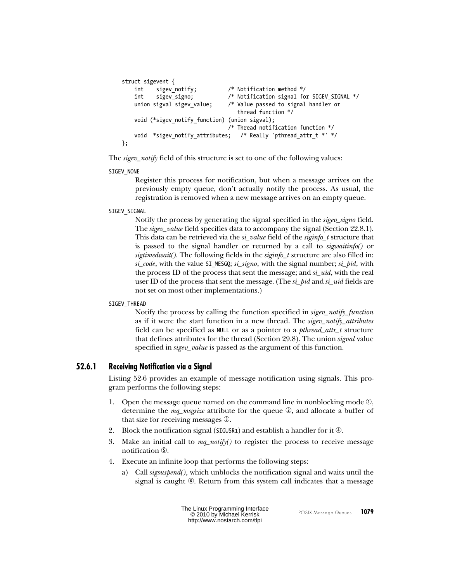```
struct sigevent {
   int sigev notify; / Notification method */
    int sigev_signo; /* Notification signal for SIGEV_SIGNAL */
    union sigval sigev_value; /* Value passed to signal handler or
                                   thread function */
   void (*sigev notify function) (union sigval);
                                 /* Thread notification function */
   void *sigev notify attributes; /* Really 'pthread attr t *' */
};
```
The *sigev\_notify* field of this structure is set to one of the following values:

#### SIGEV\_NONE

Register this process for notification, but when a message arrives on the previously empty queue, don't actually notify the process. As usual, the registration is removed when a new message arrives on an empty queue.

## SIGEV\_SIGNAL

Notify the process by generating the signal specified in the sigev\_signo field. The *sigev\_value* field specifies data to accompany the signal (Section 22.8.1). This data can be retrieved via the  $si\_value$  field of the  $signfo_t$  structure that is passed to the signal handler or returned by a call to sigwaitinfo() or sigtimedwait(). The following fields in the siginfo\_t structure are also filled in:  $si\_code$ , with the value SI MESGQ;  $si\_signo$ , with the signal number;  $si\_pid$ , with the process ID of the process that sent the message; and si\_uid, with the real user ID of the process that sent the message. (The  $si$ -pid and  $si$ -uid fields are not set on most other implementations.)

#### SIGEV THREAD

Notify the process by calling the function specified in sigev\_notify\_function as if it were the start function in a new thread. The sigev\_notify\_attributes field can be specified as NULL or as a pointer to a pthread\_attr\_t structure that defines attributes for the thread (Section 29.8). The union *sigval* value specified in *sigev\_value* is passed as the argument of this function.

## **52.6.1 Receiving Notification via a Signal**

[Listing 52-6](#page-17-0) provides an example of message notification using signals. This program performs the following steps:

- 1. Open the message queue named on the command line in nonblocking mode  $\mathbb{O}$ , determine the *mq\_msgsize* attribute for the queue  $\mathcal{D}$ , and allocate a buffer of that size for receiving messages  $\mathcal{D}$ .
- 2. Block the notification signal (SIGUSR1) and establish a handler for it  $\Phi$ .
- 3. Make an initial call to  $mq\_notify()$  to register the process to receive message notification  $\odot$ .
- 4. Execute an infinite loop that performs the following steps:
	- a) Call sigsuspend(), which unblocks the notification signal and waits until the signal is caught  $\odot$ . Return from this system call indicates that a message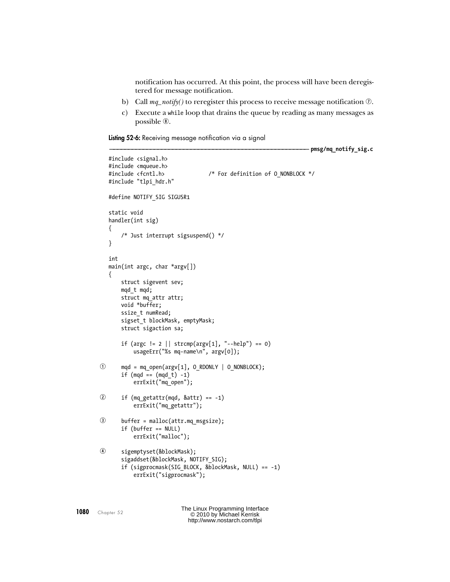<span id="page-17-1"></span>notification has occurred. At this point, the process will have been deregistered for message notification.

- <span id="page-17-0"></span>b) Call  $mq\_notify()$  to reregister this process to receive message notification  $\mathcal{D}$ .
- c) Execute a while loop that drains the queue by reading as many messages as possible  $\mathcal{D}$ .

**Listing 52-6:** Receiving message notification via a signal

```
–––––––––––––––––––––––––––––––––––––––––––––––––––––– pmsg/mq_notify_sig.c
   #include <signal.h>
   #include <mqueue.h>
   #include <fcntl.h> /* For definition of O_NONBLOCK */
   #include "tlpi hdr.h"
   #define NOTIFY_SIG SIGUSR1
   static void
   handler(int sig)
   {
        /* Just interrupt sigsuspend() */
   }
   int
   main(int argc, char *argv[])
   {
        struct sigevent sev;
        mqd_t mqd;
        struct mq_attr attr;
        void *buffer;
       ssize t numRead;
       sigset t blockMask, emptyMask;
        struct sigaction sa;
       if (argc != 2 || strcmp(argv[1], "--help") == 0)
            usageErr("%s mq-name\n", argv[0]);
\odot mqd = mq_open(argv[1], O_RDONLY | O_NONBLOCK);
       if (mqd == (mqd t) -1) errExit("mq_open");
\odot if (mq getattr(mqd, &attr) == -1)
            errExit("mq_getattr");
 buffer = malloc(attr.mq_msgsize);
        if (buffer == NULL)
            errExit("malloc");
 sigemptyset(&blockMask);
       sigaddset(&blockMask, NOTIFY SIG);
        if (sigprocmask(SIG_BLOCK, &blockMask, NULL) == -1)
            errExit("sigprocmask");
```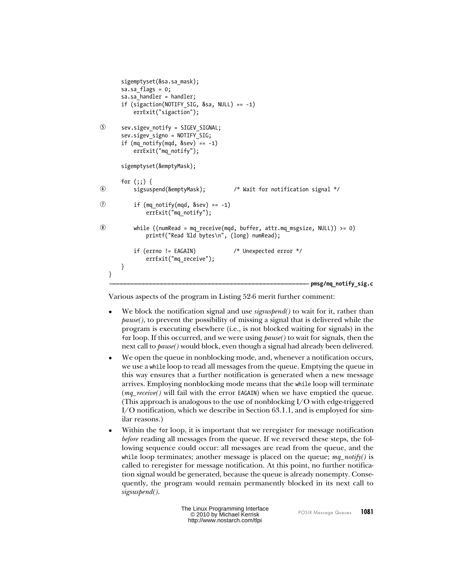```
 sigemptyset(&sa.sa_mask);
       sa.sa flags = 0;
       sa.sa handler = handler;
        if (sigaction(NOTIFY_SIG, &sa, NULL) == -1)
            errExit("sigaction");
 sev.sigev_notify = SIGEV_SIGNAL;
        sev.sigev_signo = NOTIFY_SIG;
       if (mq_{\text{notify}}(mqd, \text{~&sev}) == -1) errExit("mq_notify");
        sigemptyset(&emptyMask);
       for (;;) {
 sigsuspend(&emptyMask); /* Wait for notification signal */
\overline{O} if (mq notify(mqd, &sev) == -1)
                 errExit("mq_notify");
 while ((numRead = mq_receive(mqd, buffer, attr.mq_msgsize, NULL)) >= 0)
                 printf("Read %ld bytes\n", (long) numRead);
            if (errno != EAGAIN) /* Unexpected error */
                 errExit("mq_receive");
        }
   }
                                                                        –––––––––––––––––––––––––––––––––––––––––––––––––––––– pmsg/mq_notify_sig.c
```
Various aspects of the program in [Listing 52-6](#page-17-0) merit further comment:

- We block the notification signal and use *sigsuspend*() to wait for it, rather than pause(), to prevent the possibility of missing a signal that is delivered while the program is executing elsewhere (i.e., is not blocked waiting for signals) in the for loop. If this occurred, and we were using  $\beta$ *ause*() to wait for signals, then the next call to *pause*() would block, even though a signal had already been delivered.
- We open the queue in nonblocking mode, and, whenever a notification occurs, we use a while loop to read all messages from the queue. Emptying the queue in this way ensures that a further notification is generated when a new message arrives. Employing nonblocking mode means that the while loop will terminate (*mq\_receive*() will fail with the error EAGAIN) when we have emptied the queue. (This approach is analogous to the use of nonblocking  $I/O$  with edge-triggered I/O notification, which we describe in Section 63.1.1, and is employed for similar reasons.)
- Within the for loop, it is important that we reregister for message notification before reading all messages from the queue. If we reversed these steps, the following sequence could occur: all messages are read from the queue, and the while loop terminates; another message is placed on the queue;  $mq\_notify()$  is called to reregister for message notification. At this point, no further notification signal would be generated, because the queue is already nonempty. Consequently, the program would remain permanently blocked in its next call to sigsuspend().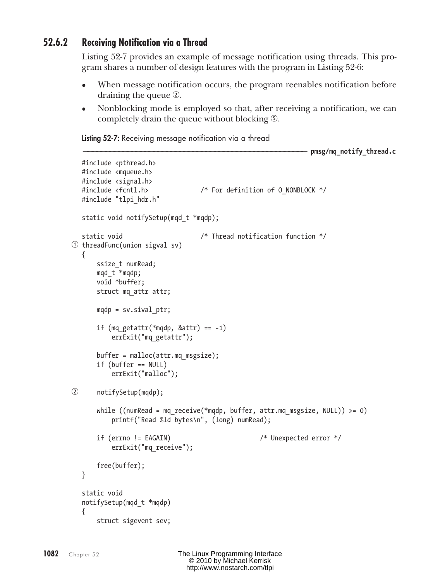## <span id="page-19-1"></span><span id="page-19-0"></span>**52.6.2 Receiving Notification via a Thread**

[Listing 52-7](#page-19-0) provides an example of message notification using threads. This program shares a number of design features with the program in [Listing 52-6:](#page-17-1)

- When message notification occurs, the program reenables notification before draining the queue  $\mathcal{D}$ .
- Nonblocking mode is employed so that, after receiving a notification, we can completely drain the queue without blocking  $\mathcal{F}$ .

**Listing 52-7:** Receiving message notification via a thread

```
––––––––––––––––––––––––––––––––––––––––––––––––––– pmsg/mq_notify_thread.c
  #include <pthread.h>
   #include <mqueue.h>
  #include <signal.h>
  #include <fcntl.h> /* For definition of O_NONBLOCK */
  #include "tlpi hdr.h"
  static void notifySetup(mqd t *mqdp);
   static void /* Thread notification function */
\odot threadFunc(union sigval sv)
   {
      ssize t numRead;
       mqd_t *mqdp;
        void *buffer;
        struct mq_attr attr;
       mqdp = sv.sizevalptr;if (mq getattr(*mqdp, 8attr) == -1)errExit("mq_getattr");
        buffer = malloc(attr.mq_msgsize);
        if (buffer == NULL)
           errExit("malloc");
 notifySetup(mqdp);
       while ((numRead = mq_receive(*mqdp, buffer, attr.mq msgsize, NULL)) >= 0)
           printf("Read %ld bytes\n", (long) numRead);
        if (errno != EAGAIN) /* Unexpected error */
           errExit("mq receive");
        free(buffer);
   }
   static void
  notifySetup(mqd_t *mqdp)
   {
        struct sigevent sev;
```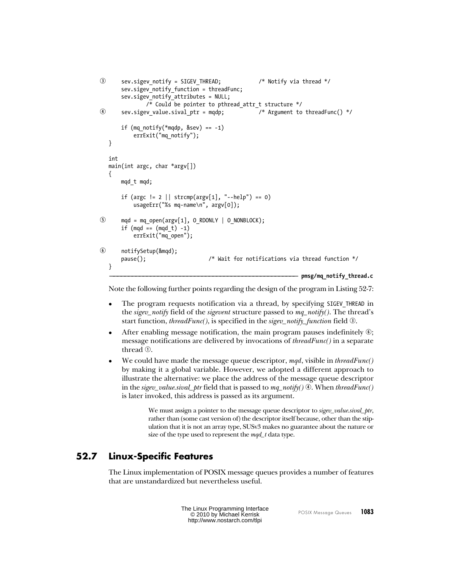```
Sev.sigev notify = SIGEV THREAD; \frac{1}{2} /* Notify via thread */
        sev.sigev_notify_function = threadFunc;
        sev.sigev_notify_attributes = NULL;
               /* Could be pointer to pthread attr t structure */4 sev.sigev value.sival ptr = mqdp; \frac{1}{2} /* Argument to threadFunc() */
       if (mq notify(*mqdp, \&sev) == -1)
            errExit("mq_notify");
   }
  int
   main(int argc, char *argv[])
   {
        mqd_t mqd;
       if (argc != 2 || strcmp(argv[1], "--help") == 0)
            usageErr("%s mq-name\n", argv[0]);
\circled{5} mqd = mq open(argv[1], O RDONLY | O NONBLOCK);
       if (mqd == (mqd t) -1)
            errExit("mq_open");
 notifySetup(&mqd);
        pause(); /* Wait for notifications via thread function */
   }
                                                                  ––––––––––––––––––––––––––––––––––––––––––––––––––– pmsg/mq_notify_thread.c
```
Note the following further points regarding the design of the program in [Listing 52-7:](#page-19-1)

- The program requests notification via a thread, by specifying SIGEV THREAD in the sigev\_notify field of the sigevent structure passed to  $mq\_notify()$ . The thread's start function, threadFunc(), is specified in the sigev\_notify\_function field  $\mathcal{D}$ .
- After enabling message notification, the main program pauses indefinitely  $\circledcirc$ ; message notifications are delivered by invocations of threadFunc() in a separate thread  $\odot$ .
- We could have made the message queue descriptor,  $mqd$ , visible in threadFunc() by making it a global variable. However, we adopted a different approach to illustrate the alternative: we place the address of the message queue descriptor in the sigev\_value.sival\_ptr field that is passed to  $mq\_notify()$   $\odot$ . When threadFunc() is later invoked, this address is passed as its argument.

We must assign a pointer to the message queue descriptor to *sigev\_value.sival\_ptr*, rather than (some cast version of) the descriptor itself because, other than the stipulation that it is not an array type, SUSv3 makes no guarantee about the nature or size of the type used to represent the  $mqd_t$  data type.

# **52.7 Linux-Specific Features**

The Linux implementation of POSIX message queues provides a number of features that are unstandardized but nevertheless useful.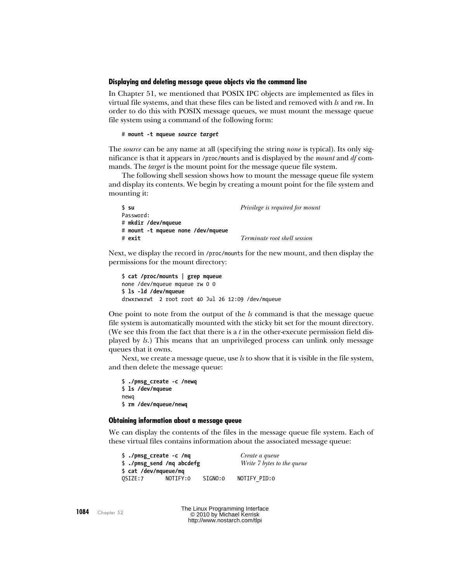## **Displaying and deleting message queue objects via the command line**

In Chapter 51, we mentioned that POSIX IPC objects are implemented as files in virtual file systems, and that these files can be listed and removed with  $k$  and  $rm$ . In order to do this with POSIX message queues, we must mount the message queue file system using a command of the following form:

```
# mount -t mqueue source target
```
The *source* can be any name at all (specifying the string *none* is typical). Its only significance is that it appears in /proc/mounts and is displayed by the *mount* and  $df$  commands. The *target* is the mount point for the message queue file system.

The following shell session shows how to mount the message queue file system and display its contents. We begin by creating a mount point for the file system and mounting it:

| ∫ su                               | <i>Privilege is required for mount</i> |
|------------------------------------|----------------------------------------|
| Password:                          |                                        |
| # mkdir /dev/mqueue                |                                        |
| # mount -t mqueue none /dev/mqueue |                                        |
| # exit                             | <i>Terminate root shell session</i>    |

Next, we display the record in /proc/mounts for the new mount, and then display the permissions for the mount directory:

```
$ cat /proc/mounts | grep mqueue
none /dev/mqueue mqueue rw 0 0
$ ls -ld /dev/mqueue
drwxrwxrwt 2 root root 40 Jul 26 12:09 /dev/mqueue
```
One point to note from the output of the  $k$  command is that the message queue file system is automatically mounted with the sticky bit set for the mount directory. (We see this from the fact that there is a  $t$  in the other-execute permission field displayed by ls.) This means that an unprivileged process can unlink only message queues that it owns.

Next, we create a message queue, use ls to show that it is visible in the file system, and then delete the message queue:

\$ **./pmsg\_create -c /newq** \$ **ls /dev/mqueue** newq \$ **rm /dev/mqueue/newq**

## **Obtaining information about a message queue**

We can display the contents of the files in the message queue file system. Each of these virtual files contains information about the associated message queue:

| \$ ./pmsg create -c /mq                             |          |         | Create a queue             |  |
|-----------------------------------------------------|----------|---------|----------------------------|--|
| \$ ./pmsg_send /mq abcdefg<br>\$ cat /dev/mqueue/mq |          |         | Write 7 bytes to the queue |  |
| OSIZE:7                                             | NOTIFY:0 | SIGNO:0 | NOTIFY PID:0               |  |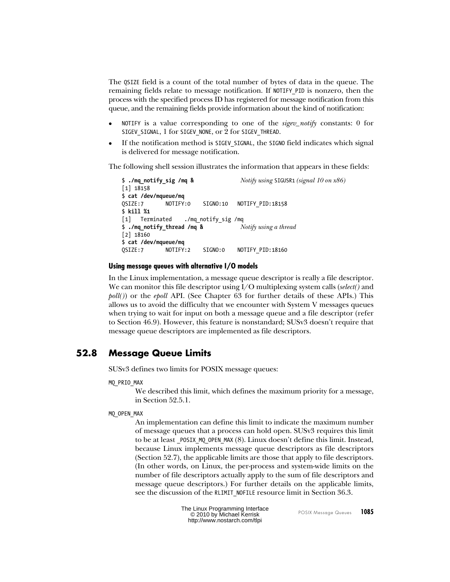<span id="page-22-0"></span>The QSIZE field is a count of the total number of bytes of data in the queue. The remaining fields relate to message notification. If NOTIFY\_PID is nonzero, then the process with the specified process ID has registered for message notification from this queue, and the remaining fields provide information about the kind of notification:

- NOTIFY is a value corresponding to one of the *sigev\_notify* constants: 0 for SIGEV\_SIGNAL, 1 for SIGEV\_NONE, or 2 for SIGEV\_THREAD.
- If the notification method is SIGEV\_SIGNAL, the SIGNO field indicates which signal is delivered for message notification.

The following shell session illustrates the information that appears in these fields:

```
$ ./mq_notify_sig /mq & Notify using SIGUSR1 (signal 10 on x86)
[1] 18158
$ cat /dev/mqueue/mq
QSIZE:7 NOTIFY:0 SIGNO:10 NOTIFYPID:18158
$ kill %1
[1] Terminated ./mq_notify_sig /mq
$ ./mq_notify_thread /mq & Notify using a thread
[2] 18160
$ cat /dev/mqueue/mq
QSIZE:7 NOTIFY:2 SIGNO:0 NOTIFYPID:18160
```
## **Using message queues with alternative I/O models**

In the Linux implementation, a message queue descriptor is really a file descriptor. We can monitor this file descriptor using  $I/O$  multiplexing system calls (select() and  $\text{pol}(I)$ ) or the *epoll* API. (See Chapter 63 for further details of these APIs.) This allows us to avoid the difficulty that we encounter with System V messages queues when trying to wait for input on both a message queue and a file descriptor (refer to Section 46.9). However, this feature is nonstandard; SUSv3 doesn't require that message queue descriptors are implemented as file descriptors.

## **52.8 Message Queue Limits**

SUSv3 defines two limits for POSIX message queues:

MQ\_PRIO\_MAX

We described this limit, which defines the maximum priority for a message, in [Section 52.5.1.](#page-10-0)

MQ\_OPEN\_MAX

An implementation can define this limit to indicate the maximum number of message queues that a process can hold open. SUSv3 requires this limit to be at least POSIX MQ OPEN MAX (8). Linux doesn't define this limit. Instead, because Linux implements message queue descriptors as file descriptors [\(Section 52.7](#page-20-0)), the applicable limits are those that apply to file descriptors. (In other words, on Linux, the per-process and system-wide limits on the number of file descriptors actually apply to the sum of file descriptors and message queue descriptors.) For further details on the applicable limits, see the discussion of the RLIMIT\_NOFILE resource limit in Section 36.3.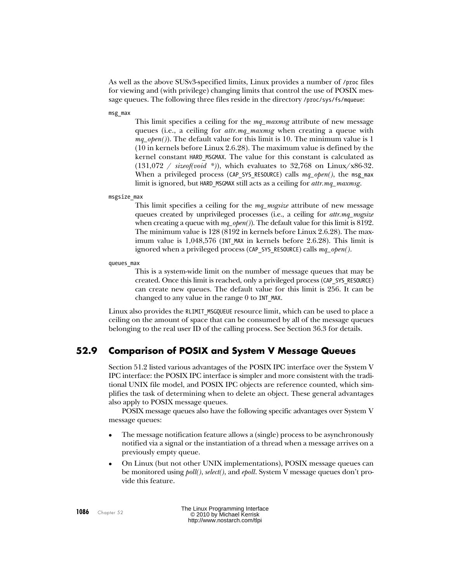As well as the above SUSv3-specified limits, Linux provides a number of /proc files for viewing and (with privilege) changing limits that control the use of POSIX message queues. The following three files reside in the directory /proc/sys/fs/mqueue:

msg\_max

This limit specifies a ceiling for the mq\_maxmsg attribute of new message queues (i.e., a ceiling for *attr.mq\_maxmsg* when creating a queue with  $mq\_open()$ . The default value for this limit is 10. The minimum value is 1 (10 in kernels before Linux 2.6.28). The maximum value is defined by the kernel constant HARD\_MSGMAX. The value for this constant is calculated as  $(131,072 / \text{sizeof}(void *))$ , which evaluates to 32,768 on Linux/x86-32. When a privileged process (CAP SYS RESOURCE) calls  $mq\_open($ , the msg max limit is ignored, but HARD MSGMAX still acts as a ceiling for attr.mq\_maxmsg.

msgsize\_max

This limit specifies a ceiling for the  $mq$  *magsize* attribute of new message queues created by unprivileged processes (i.e., a ceiling for *attr.mq\_msgsize* when creating a queue with  $mq\_open()$ . The default value for this limit is 8192. The minimum value is 128 (8192 in kernels before Linux 2.6.28). The maximum value is 1,048,576 (INT MAX in kernels before 2.6.28). This limit is ignored when a privileged process (CAP SYS RESOURCE) calls  $mq\_open(.)$ .

queues\_max

This is a system-wide limit on the number of message queues that may be created. Once this limit is reached, only a privileged process (CAP\_SYS\_RESOURCE) can create new queues. The default value for this limit is 256. It can be changed to any value in the range 0 to INT\_MAX.

Linux also provides the RLIMIT MSGQUEUE resource limit, which can be used to place a ceiling on the amount of space that can be consumed by all of the message queues belonging to the real user ID of the calling process. See Section 36.3 for details.

# **52.9 Comparison of POSIX and System V Message Queues**

Section 51.2 listed various advantages of the POSIX IPC interface over the System V IPC interface: the POSIX IPC interface is simpler and more consistent with the traditional UNIX file model, and POSIX IPC objects are reference counted, which simplifies the task of determining when to delete an object. These general advantages also apply to POSIX message queues.

POSIX message queues also have the following specific advantages over System V message queues:

- The message notification feature allows a (single) process to be asynchronously notified via a signal or the instantiation of a thread when a message arrives on a previously empty queue.
- On Linux (but not other UNIX implementations), POSIX message queues can be monitored using  $\textit{poll}()$ , select(), and epoll. System V message queues don't provide this feature.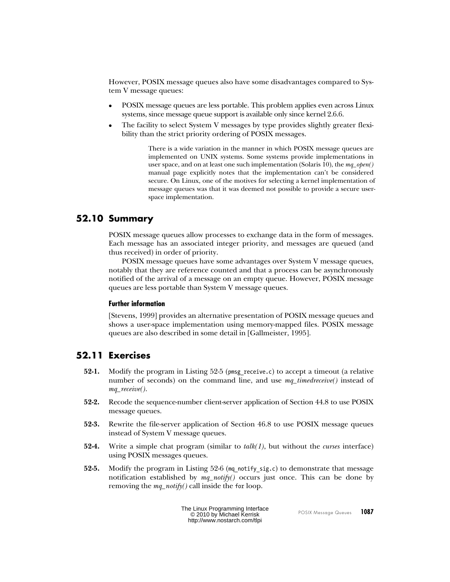However, POSIX message queues also have some disadvantages compared to System V message queues:

- POSIX message queues are less portable. This problem applies even across Linux systems, since message queue support is available only since kernel 2.6.6.
- The facility to select System V messages by type provides slightly greater flexibility than the strict priority ordering of POSIX messages.

There is a wide variation in the manner in which POSIX message queues are implemented on UNIX systems. Some systems provide implementations in user space, and on at least one such implementation (Solaris 10), the  $mq\_open()$ manual page explicitly notes that the implementation can't be considered secure. On Linux, one of the motives for selecting a kernel implementation of message queues was that it was deemed not possible to provide a secure userspace implementation.

## **52.10 Summary**

POSIX message queues allow processes to exchange data in the form of messages. Each message has an associated integer priority, and messages are queued (and thus received) in order of priority.

POSIX message queues have some advantages over System V message queues, notably that they are reference counted and that a process can be asynchronously notified of the arrival of a message on an empty queue. However, POSIX message queues are less portable than System V message queues.

## **Further information**

[Stevens, 1999] provides an alternative presentation of POSIX message queues and shows a user-space implementation using memory-mapped files. POSIX message queues are also described in some detail in [Gallmeister, 1995].

# **52.11 Exercises**

- **52-1.** Modify the program in [Listing 52-5](#page-13-0) (pmsg\_receive.c) to accept a timeout (a relative number of seconds) on the command line, and use mq  $timedreceive()$  instead of mq\_receive().
- **52-2.** Recode the sequence-number client-server application of Section 44.8 to use POSIX message queues.
- **52-3.** Rewrite the file-server application of Section 46.8 to use POSIX message queues instead of System V message queues.
- **52-4.** Write a simple chat program (similar to  $talk(1)$ , but without the *curses* interface) using POSIX messages queues.
- **52-5.** Modify the program in [Listing 52-6](#page-17-0) (mq notify sig.c) to demonstrate that message notification established by  $mq\_notify()$  occurs just once. This can be done by removing the  $mq\_notify()$  call inside the for loop.